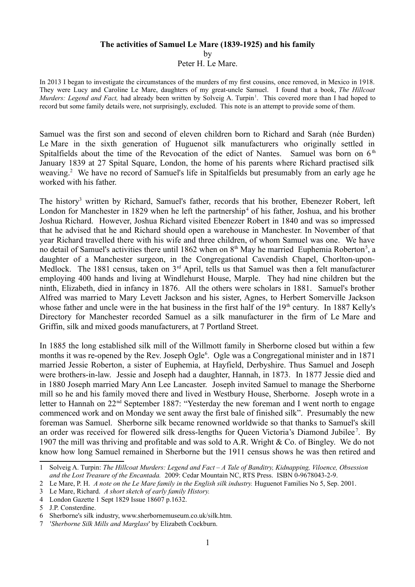#### **The activities of Samuel Le Mare (1839-1925) and his family**

by

Peter H. Le Mare.

In 2013 I began to investigate the circumstances of the murders of my first cousins, once removed, in Mexico in 1918. They were Lucy and Caroline Le Mare, daughters of my great-uncle Samuel. I found that a book, *The Hillcoat Murders: Legend and Fact,* had already been written by Solveig A. Turpin<sup>[1](#page-0-0)</sup>. This covered more than I had hoped to record but some family details were, not surprisingly, excluded. This note is an attempt to provide some of them.

Samuel was the first son and second of eleven children born to Richard and Sarah (née Burden) Le Mare in the sixth generation of Huguenot silk manufacturers who originally settled in Spitalfields about the time of the Revocation of the edict of Nantes. Samuel was born on  $6<sup>th</sup>$ January 1839 at 27 Spital Square, London, the home of his parents where Richard practised silk weaving.<sup>[2](#page-0-1)</sup> We have no record of Samuel's life in Spitalfields but presumably from an early age he worked with his father.

The history<sup>[3](#page-0-2)</sup> written by Richard, Samuel's father, records that his brother, Ebenezer Robert, left London for Manchester in 1829 when he left the partnership<sup>[4](#page-0-3)</sup> of his father, Joshua, and his brother Joshua Richard. However, Joshua Richard visited Ebenezer Robert in 1840 and was so impressed that he advised that he and Richard should open a warehouse in Manchester. In November of that year Richard travelled there with his wife and three children, of whom Samuel was one. We have no detail of Samuel's activities there until 1862 when on  $8<sup>th</sup>$  May he married Euphemia Roberton<sup>[5](#page-0-4)</sup>, a daughter of a Manchester surgeon, in the Congregational Cavendish Chapel, Chorlton-upon-Medlock. The 1881 census, taken on 3<sup>rd</sup> April, tells us that Samuel was then a felt manufacturer employing 400 hands and living at Windlehurst House, Marple. They had nine children but the ninth, Elizabeth, died in infancy in 1876. All the others were scholars in 1881. Samuel's brother Alfred was married to Mary Levett Jackson and his sister, Agnes, to Herbert Somerville Jackson whose father and uncle were in the hat business in the first half of the 19<sup>th</sup> century. In 1887 Kelly's Directory for Manchester recorded Samuel as a silk manufacturer in the firm of Le Mare and Griffin, silk and mixed goods manufacturers, at 7 Portland Street.

In 1885 the long established silk mill of the Willmott family in Sherborne closed but within a few months it was re-opened by the Rev. Joseph Ogle<sup>[6](#page-0-5)</sup>. Ogle was a Congregational minister and in 1871 married Jessie Roberton, a sister of Euphemia, at Hayfield, Derbyshire. Thus Samuel and Joseph were brothers-in-law. Jessie and Joseph had a daughter, Hannah, in 1873. In 1877 Jessie died and in 1880 Joseph married Mary Ann Lee Lancaster. Joseph invited Samuel to manage the Sherborne mill so he and his family moved there and lived in Westbury House, Sherborne. Joseph wrote in a letter to Hannah on 22<sup>nd</sup> September 1887: "Yesterday the new foreman and I went north to engage commenced work and on Monday we sent away the first bale of finished silk". Presumably the new foreman was Samuel. Sherborne silk became renowned worldwide so that thanks to Samuel's skill an order was received for flowered silk dress-lengths for Queen Victoria's Diamond Jubilee<sup>[7](#page-0-6)</sup>. By 1907 the mill was thriving and profitable and was sold to A.R. Wright & Co. of Bingley. We do not know how long Samuel remained in Sherborne but the 1911 census shows he was then retired and

<span id="page-0-0"></span><sup>1</sup> Solveig A. Turpin: *The Hillcoat Murders: Legend and Fact – A Tale of Banditry, Kidnapping, Viloence, Obsession and the Lost Treasure of the Encantada.* 2009: Cedar Mountain NC, RTS Press. ISBN 0-9678043-2-9.

<span id="page-0-1"></span><sup>2</sup> Le Mare, P. H. *A note on the Le Mare family in the English silk industry.* Huguenot Families No 5, Sep. 2001.

<span id="page-0-2"></span><sup>3</sup> Le Mare, Richard. *A short sketch of early family History.*

<span id="page-0-3"></span><sup>4</sup> London Gazette 1 Sept 1829 Issue 18607 p.1632.

<span id="page-0-4"></span><sup>5</sup> J.P. Consterdine.

<span id="page-0-5"></span><sup>6</sup> Sherborne's silk industry, www.sherbornemuseum.co.uk/silk.htm.

<span id="page-0-6"></span><sup>7 &#</sup>x27;*Sherborne Silk Mills and Marglass*' by Elizabeth Cockburn.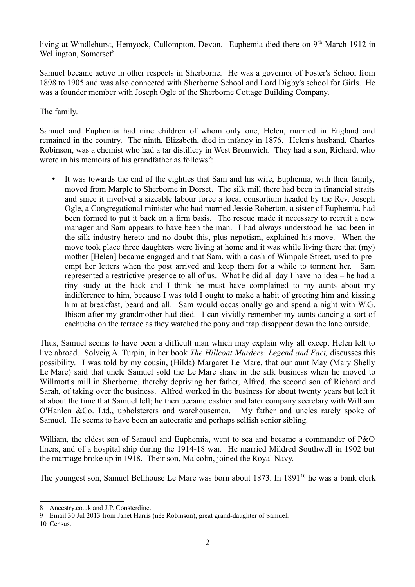living at Windlehurst, Hemyock, Cullompton, Devon. Euphemia died there on 9<sup>th</sup> March 1912 in Wellington, Somerset<sup>[8](#page-1-0)</sup>

Samuel became active in other respects in Sherborne. He was a governor of Foster's School from 1898 to 1905 and was also connected with Sherborne School and Lord Digby's school for Girls. He was a founder member with Joseph Ogle of the Sherborne Cottage Building Company.

The family.

Samuel and Euphemia had nine children of whom only one, Helen, married in England and remained in the country. The ninth, Elizabeth, died in infancy in 1876. Helen's husband, Charles Robinson, was a chemist who had a tar distillery in West Bromwich. They had a son, Richard, who wrote in his memoirs of his grandfather as follows $\delta$ :

• It was towards the end of the eighties that Sam and his wife, Euphemia, with their family, moved from Marple to Sherborne in Dorset. The silk mill there had been in financial straits and since it involved a sizeable labour force a local consortium headed by the Rev. Joseph Ogle, a Congregational minister who had married Jessie Roberton, a sister of Euphemia, had been formed to put it back on a firm basis. The rescue made it necessary to recruit a new manager and Sam appears to have been the man. I had always understood he had been in the silk industry hereto and no doubt this, plus nepotism, explained his move. When the move took place three daughters were living at home and it was while living there that (my) mother [Helen] became engaged and that Sam, with a dash of Wimpole Street, used to preempt her letters when the post arrived and keep them for a while to torment her. Sam represented a restrictive presence to all of us. What he did all day I have no idea – he had a tiny study at the back and I think he must have complained to my aunts about my indifference to him, because I was told I ought to make a habit of greeting him and kissing him at breakfast, beard and all. Sam would occasionally go and spend a night with W.G. Ibison after my grandmother had died. I can vividly remember my aunts dancing a sort of cachucha on the terrace as they watched the pony and trap disappear down the lane outside.

Thus, Samuel seems to have been a difficult man which may explain why all except Helen left to live abroad. Solveig A. Turpin, in her book *The Hillcoat Murders: Legend and Fact,* discusses this possibility. I was told by my cousin, (Hilda) Margaret Le Mare, that our aunt May (Mary Shelly Le Mare) said that uncle Samuel sold the Le Mare share in the silk business when he moved to Willmott's mill in Sherborne, thereby depriving her father, Alfred, the second son of Richard and Sarah, of taking over the business. Alfred worked in the business for about twenty years but left it at about the time that Samuel left; he then became cashier and later company secretary with William O'Hanlon &Co. Ltd., upholsterers and warehousemen. My father and uncles rarely spoke of Samuel. He seems to have been an autocratic and perhaps selfish senior sibling.

William, the eldest son of Samuel and Euphemia, went to sea and became a commander of P&O liners, and of a hospital ship during the 1914-18 war. He married Mildred Southwell in 1902 but the marriage broke up in 1918. Their son, Malcolm, joined the Royal Navy.

The youngest son, Samuel Bellhouse Le Mare was born about  $1873$ . In  $1891^{10}$  $1891^{10}$  $1891^{10}$  he was a bank clerk

<span id="page-1-0"></span><sup>8</sup> Ancestry.co.uk and J.P. Consterdine.

<span id="page-1-1"></span><sup>9</sup> Email 30 Jul 2013 from Janet Harris (née Robinson), great grand-daughter of Samuel.

<span id="page-1-2"></span><sup>10</sup> Census.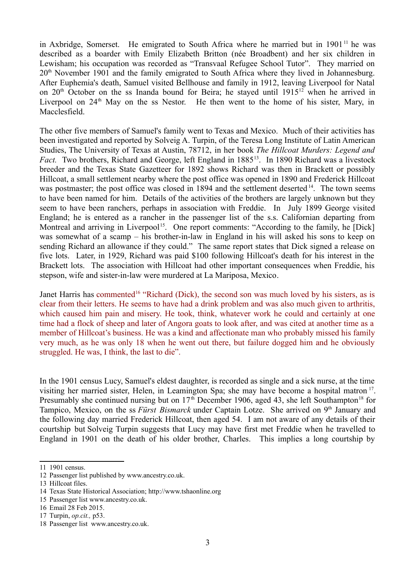in Axbridge, Somerset. He emigrated to South Africa where he married but in  $1901<sup>11</sup>$  $1901<sup>11</sup>$  $1901<sup>11</sup>$  he was described as a boarder with Emily Elizabeth Britton (née Broadbent) and her six children in Lewisham; his occupation was recorded as "Transvaal Refugee School Tutor". They married on 20th November 1901 and the family emigrated to South Africa where they lived in Johannesburg. After Euphemia's death, Samuel visited Bellhouse and family in 1912, leaving Liverpool for Natal on  $20<sup>th</sup>$  October on the ss Inanda bound for Beira; he stayed until 1915<sup>[12](#page-2-1)</sup> when he arrived in Liverpool on  $24<sup>th</sup>$  May on the ss Nestor. He then went to the home of his sister, Mary, in Macclesfield.

The other five members of Samuel's family went to Texas and Mexico. Much of their activities has been investigated and reported by Solveig A. Turpin, of the Teresa Long Institute of Latin American Studies, The University of Texas at Austin, 78712, in her book *The Hillcoat Murders: Legend and Fact.* Two brothers, Richard and George, left England in 1885<sup>[13](#page-2-2)</sup>. In 1890 Richard was a livestock breeder and the Texas State Gazetteer for 1892 shows Richard was then in Brackett or possibly Hillcoat, a small settlement nearby where the post office was opened in 1890 and Frederick Hillcoat was postmaster; the post office was closed in 1894 and the settlement deserted<sup>[14](#page-2-3)</sup>. The town seems to have been named for him. Details of the activities of the brothers are largely unknown but they seem to have been ranchers, perhaps in association with Freddie. In July 1899 George visited England; he is entered as a rancher in the passenger list of the s.s. Californian departing from Montreal and arriving in Liverpool<sup>[15](#page-2-4)</sup>. One report comments: "According to the family, he [Dick] was somewhat of a scamp – his brother-in-law in England in his will asked his sons to keep on sending Richard an allowance if they could." The same report states that Dick signed a release on five lots. Later, in 1929, Richard was paid \$100 following Hillcoat's death for his interest in the Brackett lots. The association with Hillcoat had other important consequences when Freddie, his stepson, wife and sister-in-law were murdered at La Mariposa, Mexico.

Janet Harris has commented<sup>[16](#page-2-5)</sup> "Richard (Dick), the second son was much loved by his sisters, as is clear from their letters. He seems to have had a drink problem and was also much given to arthritis, which caused him pain and misery. He took, think, whatever work he could and certainly at one time had a flock of sheep and later of Angora goats to look after, and was cited at another time as a member of Hillcoat's business. He was a kind and affectionate man who probably missed his family very much, as he was only 18 when he went out there, but failure dogged him and he obviously struggled. He was, I think, the last to die".

In the 1901 census Lucy, Samuel's eldest daughter, is recorded as single and a sick nurse, at the time visiting her married sister, Helen, in Leamington Spa; she may have become a hospital matron<sup>[17](#page-2-6)</sup>. Presumably she continued nursing but on  $17<sup>th</sup>$  December 1906, aged 43, she left Southampton<sup>[18](#page-2-7)</sup> for Tampico, Mexico, on the ss *Fürst Bismarck* under Captain Lotze. She arrived on 9<sup>th</sup> January and the following day married Frederick Hillcoat, then aged 54. I am not aware of any details of their courtship but Solveig Turpin suggests that Lucy may have first met Freddie when he travelled to England in 1901 on the death of his older brother, Charles. This implies a long courtship by

<span id="page-2-0"></span><sup>11</sup> 1901 census.

<span id="page-2-1"></span><sup>12</sup> Passenger list published by www.ancestry.co.uk.

<span id="page-2-2"></span><sup>13</sup> Hillcoat files.

<span id="page-2-3"></span><sup>14</sup> Texas State Historical Association; http://www.tshaonline.org

<span id="page-2-4"></span><sup>15</sup> Passenger list www.ancestry.co.uk.

<span id="page-2-5"></span><sup>16</sup> Email 28 Feb 2015.

<span id="page-2-6"></span><sup>17</sup> Turpin, *op.cit.,* p53.

<span id="page-2-7"></span><sup>18</sup> Passenger list www.ancestry.co.uk.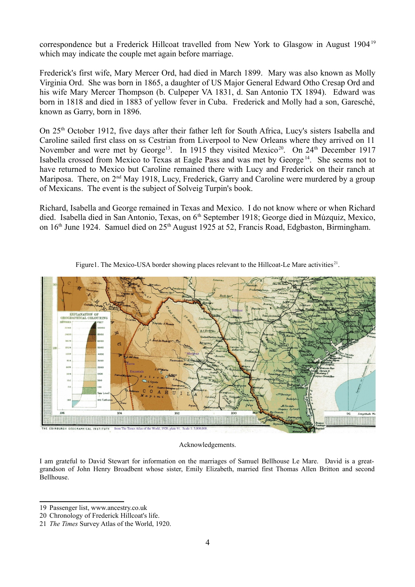correspondence but a Frederick Hillcoat travelled from New York to Glasgow in August [19](#page-3-0)04<sup>19</sup> which may indicate the couple met again before marriage.

Frederick's first wife, Mary Mercer Ord, had died in March 1899. Mary was also known as Molly Virginia Ord. She was born in 1865, a daughter of US Major General Edward Otho Cresap Ord and his wife Mary Mercer Thompson (b. Culpeper VA 1831, d. San Antonio TX 1894). Edward was born in 1818 and died in 1883 of yellow fever in Cuba. Frederick and Molly had a son, Garesché, known as Garry, born in 1896.

On 25<sup>th</sup> October 1912, five days after their father left for South Africa, Lucy's sisters Isabella and Caroline sailed first class on ss Cestrian from Liverpool to New Orleans where they arrived on 11 November and were met by George<sup>13</sup>. In 1915 they visited Mexico<sup>[20](#page-3-1)</sup>. On  $24<sup>th</sup>$  December 1917 Isabella crossed from Mexico to Texas at Eagle Pass and was met by George <sup>14</sup>. She seems not to have returned to Mexico but Caroline remained there with Lucy and Frederick on their ranch at Mariposa. There, on  $2<sup>nd</sup>$  May 1918, Lucy, Frederick, Garry and Caroline were murdered by a group of Mexicans. The event is the subject of Solveig Turpin's book.

Richard, Isabella and George remained in Texas and Mexico. I do not know where or when Richard died. Isabella died in San Antonio, Texas, on 6<sup>th</sup> September 1918; George died in Múzquiz, Mexico, on 16<sup>th</sup> June 1924. Samuel died on 25<sup>th</sup> August 1925 at 52, Francis Road, Edgbaston, Birmingham.



Figure1. The Mexico-USA border showing places relevant to the Hillcoat-Le Mare activities $^{21}$  $^{21}$  $^{21}$ .

#### Acknowledgements.

I am grateful to David Stewart for information on the marriages of Samuel Bellhouse Le Mare. David is a greatgrandson of John Henry Broadbent whose sister, Emily Elizabeth, married first Thomas Allen Britton and second Bellhouse.

<span id="page-3-0"></span><sup>19</sup> Passenger list, www.ancestry.co.uk

<span id="page-3-1"></span><sup>20</sup> Chronology of Frederick Hillcoat's life.

<span id="page-3-2"></span><sup>21</sup> *The Times* Survey Atlas of the World, 1920.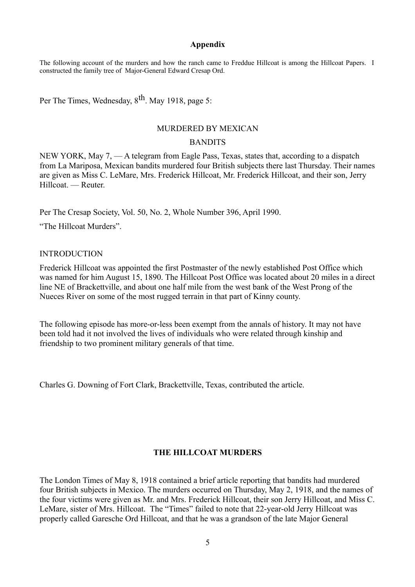### **Appendix**

The following account of the murders and how the ranch came to Freddue Hillcoat is among the Hillcoat Papers. I constructed the family tree of Major-General Edward Cresap Ord.

Per The Times, Wednesday, 8<sup>th</sup>. May 1918, page 5:

## MURDERED BY MEXICAN

## **BANDITS**

NEW YORK, May 7, — A telegram from Eagle Pass, Texas, states that, according to a dispatch from La Mariposa, Mexican bandits murdered four British subjects there last Thursday. Their names are given as Miss C. LeMare, Mrs. Frederick Hillcoat, Mr. Frederick Hillcoat, and their son, Jerry Hillcoat. — Reuter.

Per The Cresap Society, Vol. 50, No. 2, Whole Number 396, April 1990.

"The Hillcoat Murders".

#### INTRODUCTION

Frederick Hillcoat was appointed the first Postmaster of the newly established Post Office which was named for him August 15, 1890. The Hillcoat Post Office was located about 20 miles in a direct line NE of Brackettville, and about one half mile from the west bank of the West Prong of the Nueces River on some of the most rugged terrain in that part of Kinny county.

The following episode has more-or-less been exempt from the annals of history. It may not have been told had it not involved the lives of individuals who were related through kinship and friendship to two prominent military generals of that time.

Charles G. Downing of Fort Clark, Brackettville, Texas, contributed the article.

# **THE HILLCOAT MURDERS**

The London Times of May 8, 1918 contained a brief article reporting that bandits had murdered four British subjects in Mexico. The murders occurred on Thursday, May 2, 1918, and the names of the four victims were given as Mr. and Mrs. Frederick Hillcoat, their son Jerry Hillcoat, and Miss C. LeMare, sister of Mrs. Hillcoat. The "Times" failed to note that 22-year-old Jerry Hillcoat was properly called Garesche Ord Hillcoat, and that he was a grandson of the late Major General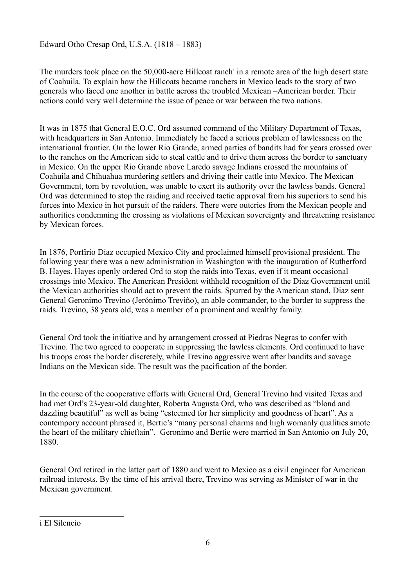Edward Otho Cresap Ord, U.S.A. (1818 – 1883)

The murders took place on the 50,000-acre H[i](#page-5-0)llcoat ranch<sup>i</sup> in a remote area of the high desert state of Coahuila. To explain how the Hillcoats became ranchers in Mexico leads to the story of two generals who faced one another in battle across the troubled Mexican –American border. Their actions could very well determine the issue of peace or war between the two nations.

It was in 1875 that General E.O.C. Ord assumed command of the Military Department of Texas, with headquarters in San Antonio. Immediately he faced a serious problem of lawlessness on the international frontier. On the lower Rio Grande, armed parties of bandits had for years crossed over to the ranches on the American side to steal cattle and to drive them across the border to sanctuary in Mexico. On the upper Rio Grande above Laredo savage Indians crossed the mountains of Coahuila and Chihuahua murdering settlers and driving their cattle into Mexico. The Mexican Government, torn by revolution, was unable to exert its authority over the lawless bands. General Ord was determined to stop the raiding and received tactic approval from his superiors to send his forces into Mexico in hot pursuit of the raiders. There were outcries from the Mexican people and authorities condemning the crossing as violations of Mexican sovereignty and threatening resistance by Mexican forces.

In 1876, Porfirio Diaz occupied Mexico City and proclaimed himself provisional president. The following year there was a new administration in Washington with the inauguration of Rutherford B. Hayes. Hayes openly ordered Ord to stop the raids into Texas, even if it meant occasional crossings into Mexico. The American President withheld recognition of the Diaz Government until the Mexican authorities should act to prevent the raids. Spurred by the American stand, Diaz sent General Geronimo Trevino (Jerónimo Treviño), an able commander, to the border to suppress the raids. Trevino, 38 years old, was a member of a prominent and wealthy family.

General Ord took the initiative and by arrangement crossed at Piedras Negras to confer with Trevino. The two agreed to cooperate in suppressing the lawless elements. Ord continued to have his troops cross the border discretely, while Trevino aggressive went after bandits and savage Indians on the Mexican side. The result was the pacification of the border.

In the course of the cooperative efforts with General Ord, General Trevino had visited Texas and had met Ord's 23-year-old daughter, Roberta Augusta Ord, who was described as "blond and dazzling beautiful" as well as being "esteemed for her simplicity and goodness of heart". As a contempory account phrased it, Bertie's "many personal charms and high womanly qualities smote the heart of the military chieftain". Geronimo and Bertie were married in San Antonio on July 20, 1880.

General Ord retired in the latter part of 1880 and went to Mexico as a civil engineer for American railroad interests. By the time of his arrival there, Trevino was serving as Minister of war in the Mexican government.

<span id="page-5-0"></span>i El Silencio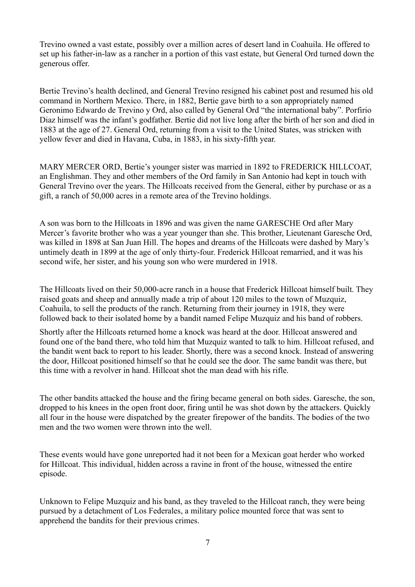Trevino owned a vast estate, possibly over a million acres of desert land in Coahuila. He offered to set up his father-in-law as a rancher in a portion of this vast estate, but General Ord turned down the generous offer.

Bertie Trevino's health declined, and General Trevino resigned his cabinet post and resumed his old command in Northern Mexico. There, in 1882, Bertie gave birth to a son appropriately named Geronimo Edwardo de Trevino y Ord, also called by General Ord "the international baby". Porfirio Diaz himself was the infant's godfather. Bertie did not live long after the birth of her son and died in 1883 at the age of 27. General Ord, returning from a visit to the United States, was stricken with yellow fever and died in Havana, Cuba, in 1883, in his sixty-fifth year.

MARY MERCER ORD, Bertie's younger sister was married in 1892 to FREDERICK HILLCOAT, an Englishman. They and other members of the Ord family in San Antonio had kept in touch with General Trevino over the years. The Hillcoats received from the General, either by purchase or as a gift, a ranch of 50,000 acres in a remote area of the Trevino holdings.

A son was born to the Hillcoats in 1896 and was given the name GARESCHE Ord after Mary Mercer's favorite brother who was a year younger than she. This brother, Lieutenant Garesche Ord, was killed in 1898 at San Juan Hill. The hopes and dreams of the Hillcoats were dashed by Mary's untimely death in 1899 at the age of only thirty-four. Frederick Hillcoat remarried, and it was his second wife, her sister, and his young son who were murdered in 1918.

The Hillcoats lived on their 50,000-acre ranch in a house that Frederick Hillcoat himself built. They raised goats and sheep and annually made a trip of about 120 miles to the town of Muzquiz, Coahuila, to sell the products of the ranch. Returning from their journey in 1918, they were followed back to their isolated home by a bandit named Felipe Muzquiz and his band of robbers.

Shortly after the Hillcoats returned home a knock was heard at the door. Hillcoat answered and found one of the band there, who told him that Muzquiz wanted to talk to him. Hillcoat refused, and the bandit went back to report to his leader. Shortly, there was a second knock. Instead of answering the door, Hillcoat positioned himself so that he could see the door. The same bandit was there, but this time with a revolver in hand. Hillcoat shot the man dead with his rifle.

The other bandits attacked the house and the firing became general on both sides. Garesche, the son, dropped to his knees in the open front door, firing until he was shot down by the attackers. Quickly all four in the house were dispatched by the greater firepower of the bandits. The bodies of the two men and the two women were thrown into the well.

These events would have gone unreported had it not been for a Mexican goat herder who worked for Hillcoat. This individual, hidden across a ravine in front of the house, witnessed the entire episode.

Unknown to Felipe Muzquiz and his band, as they traveled to the Hillcoat ranch, they were being pursued by a detachment of Los Federales, a military police mounted force that was sent to apprehend the bandits for their previous crimes.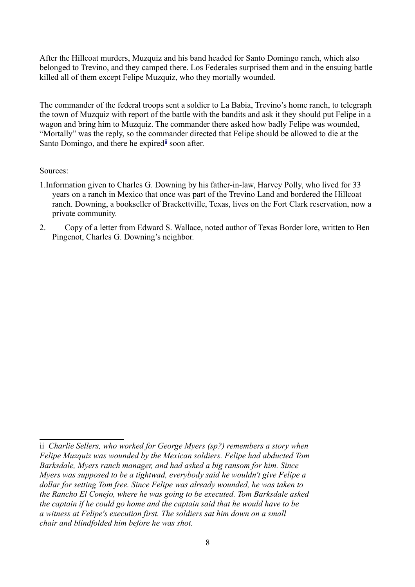After the Hillcoat murders, Muzquiz and his band headed for Santo Domingo ranch, which also belonged to Trevino, and they camped there. Los Federales surprised them and in the ensuing battle killed all of them except Felipe Muzquiz, who they mortally wounded.

The commander of the federal troops sent a soldier to La Babia, Trevino's home ranch, to telegraph the town of Muzquiz with report of the battle with the bandits and ask it they should put Felipe in a wagon and bring him to Muzquiz. The commander there asked how badly Felipe was wounded, "Mortally" was the reply, so the commander directed that Felipe should be allowed to die at the Santo Domingo, and there he expired soon after.

# Sources:

- 1.Information given to Charles G. Downing by his father-in-law, Harvey Polly, who lived for 33 years on a ranch in Mexico that once was part of the Trevino Land and bordered the Hillcoat ranch. Downing, a bookseller of Brackettville, Texas, lives on the Fort Clark reservation, now a private community.
- 2. Copy of a letter from Edward S. Wallace, noted author of Texas Border lore, written to Ben Pingenot, Charles G. Downing's neighbor.

<span id="page-7-0"></span>ii *Charlie Sellers, who worked for George Myers (sp?) remembers a story when Felipe Muzquiz was wounded by the Mexican soldiers. Felipe had abducted Tom Barksdale, Myers ranch manager, and had asked a big ransom for him. Since Myers was supposed to be a tightwad, everybody said he wouldn't give Felipe a dollar for setting Tom free. Since Felipe was already wounded, he was taken to the Rancho El Conejo, where he was going to be executed. Tom Barksdale asked the captain if he could go home and the captain said that he would have to be a witness at Felipe's execution first. The soldiers sat him down on a small chair and blindfolded him before he was shot.*